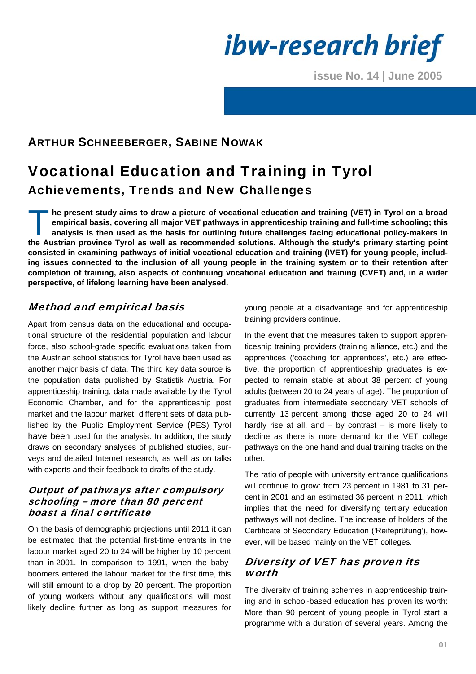*ibw-research brief* 

**issue No. 14 | June 2005**

# ARTHUR SCHNEEBERGER, SABINE NOWAK

# Vocational Education and Training in Tyrol Achievements, Trends and New Challenges

**he present study aims to draw a picture of vocational education and training (VET) in Tyrol on a broad empirical basis, covering all major VET pathways in apprenticeship training and full-time schooling; this analysis is then used as the basis for outlining future challenges facing educational policy-makers in the Austrian province Tyrol as well as recommended solutions. Although the study's primary starting point consisted in examining pathways of initial vocational education and training (IVET) for young people, including issues connected to the inclusion of all young people in the training system or to their retention after completion of training, also aspects of continuing vocational education and training (CVET) and, in a wider perspective, of lifelong learning have been analysed.**   $\prod_{\mathsf{ar}}^{\mathsf{he}}$ 

# Method and empirical basis

Apart from census data on the educational and occupational structure of the residential population and labour force, also school-grade specific evaluations taken from the Austrian school statistics for Tyrol have been used as another major basis of data. The third key data source is the population data published by Statistik Austria. For apprenticeship training, data made available by the Tyrol Economic Chamber, and for the apprenticeship post market and the labour market, different sets of data published by the Public Employment Service (PES) Tyrol have been used for the analysis. In addition, the study draws on secondary analyses of published studies, surveys and detailed Internet research, as well as on talks with experts and their feedback to drafts of the study.

#### Output of pathways after compulsory schooling – more than 80 percent boast a final certificate

On the basis of demographic projections until 2011 it can be estimated that the potential first-time entrants in the labour market aged 20 to 24 will be higher by 10 percent than in 2001. In comparison to 1991, when the babyboomers entered the labour market for the first time, this will still amount to a drop by 20 percent. The proportion of young workers without any qualifications will most likely decline further as long as support measures for young people at a disadvantage and for apprenticeship training providers continue.

In the event that the measures taken to support apprenticeship training providers (training alliance, etc.) and the apprentices ('coaching for apprentices', etc.) are effective, the proportion of apprenticeship graduates is expected to remain stable at about 38 percent of young adults (between 20 to 24 years of age). The proportion of graduates from intermediate secondary VET schools of currently 13 percent among those aged 20 to 24 will hardly rise at all, and  $-$  by contrast  $-$  is more likely to decline as there is more demand for the VET college pathways on the one hand and dual training tracks on the other.

The ratio of people with university entrance qualifications will continue to grow: from 23 percent in 1981 to 31 percent in 2001 and an estimated 36 percent in 2011, which implies that the need for diversifying tertiary education pathways will not decline. The increase of holders of the Certificate of Secondary Education ('Reifeprüfung'), however, will be based mainly on the VET colleges.

### Diversity of VET has proven its worth

The diversity of training schemes in apprenticeship training and in school-based education has proven its worth: More than 90 percent of young people in Tyrol start a programme with a duration of several years. Among the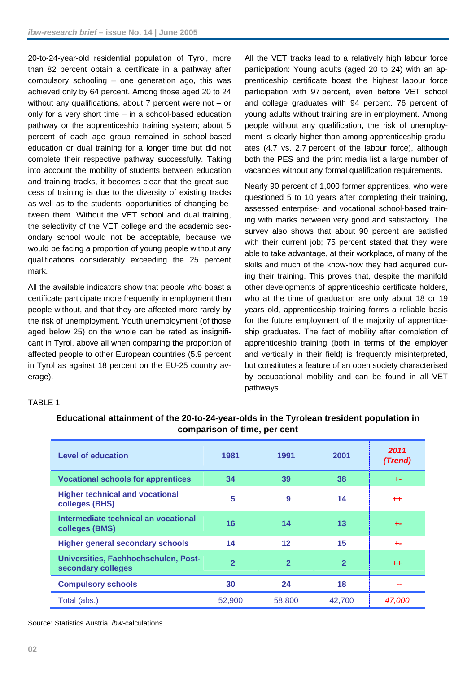20-to-24-year-old residential population of Tyrol, more than 82 percent obtain a certificate in a pathway after compulsory schooling – one generation ago, this was achieved only by 64 percent. Among those aged 20 to 24 without any qualifications, about 7 percent were not – or only for a very short time – in a school-based education pathway or the apprenticeship training system; about 5 percent of each age group remained in school-based education or dual training for a longer time but did not complete their respective pathway successfully. Taking into account the mobility of students between education and training tracks, it becomes clear that the great success of training is due to the diversity of existing tracks as well as to the students' opportunities of changing between them. Without the VET school and dual training, the selectivity of the VET college and the academic secondary school would not be acceptable, because we would be facing a proportion of young people without any qualifications considerably exceeding the 25 percent mark.

All the available indicators show that people who boast a certificate participate more frequently in employment than people without, and that they are affected more rarely by the risk of unemployment. Youth unemployment (of those aged below 25) on the whole can be rated as insignificant in Tyrol, above all when comparing the proportion of affected people to other European countries (5.9 percent in Tyrol as against 18 percent on the EU-25 country average).

All the VET tracks lead to a relatively high labour force participation: Young adults (aged 20 to 24) with an apprenticeship certificate boast the highest labour force participation with 97 percent, even before VET school and college graduates with 94 percent. 76 percent of young adults without training are in employment. Among people without any qualification, the risk of unemployment is clearly higher than among apprenticeship graduates (4.7 vs. 2.7 percent of the labour force), although both the PES and the print media list a large number of vacancies without any formal qualification requirements.

Nearly 90 percent of 1,000 former apprentices, who were questioned 5 to 10 years after completing their training, assessed enterprise- and vocational school-based training with marks between very good and satisfactory. The survey also shows that about 90 percent are satisfied with their current job: 75 percent stated that they were able to take advantage, at their workplace, of many of the skills and much of the know-how they had acquired during their training. This proves that, despite the manifold other developments of apprenticeship certificate holders, who at the time of graduation are only about 18 or 19 years old, apprenticeship training forms a reliable basis for the future employment of the majority of apprenticeship graduates. The fact of mobility after completion of apprenticeship training (both in terms of the employer and vertically in their field) is frequently misinterpreted, but constitutes a feature of an open society characterised by occupational mobility and can be found in all VET pathways.

#### TABLE 1:

| <b>Level of education</b>                                  | 1981           | 1991              | 2001           | 2011<br>(Trend) |
|------------------------------------------------------------|----------------|-------------------|----------------|-----------------|
| <b>Vocational schools for apprentices</b>                  | 34             | 39                | 38             | $+ -$           |
| <b>Higher technical and vocational</b><br>colleges (BHS)   | 5              | 9                 | 14             | $+ +$           |
| Intermediate technical an vocational<br>colleges (BMS)     | 16             | 14                | 13             | -1--            |
| <b>Higher general secondary schools</b>                    | 14             | $12 \overline{ }$ | 15             | ÷.              |
| Universities, Fachhochschulen, Post-<br>secondary colleges | $\overline{2}$ | $\overline{2}$    | $\overline{2}$ | $++$            |
| <b>Compulsory schools</b>                                  | 30             | 24                | 18             | --              |
| Total (abs.)                                               | 52,900         | 58,800            | 42,700         | 47.000          |

## **Educational attainment of the 20-to-24-year-olds in the Tyrolean tresident population in comparison of time, per cent**

Source: Statistics Austria; *ibw-*calculations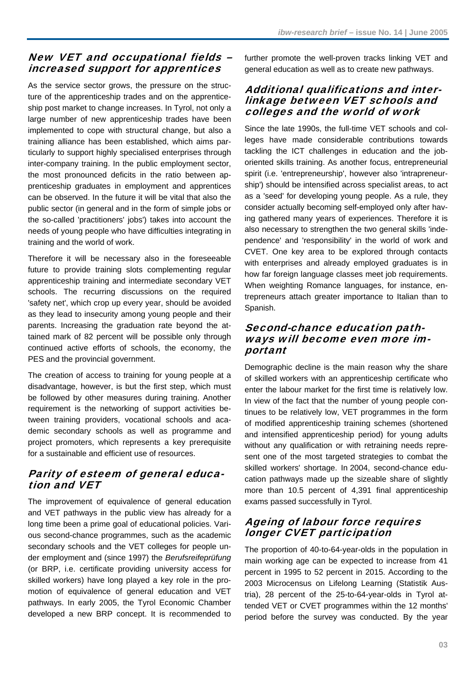# New VET and occupational fields – increased support for apprentices

As the service sector grows, the pressure on the structure of the apprenticeship trades and on the apprenticeship post market to change increases. In Tyrol, not only a large number of new apprenticeship trades have been implemented to cope with structural change, but also a training alliance has been established, which aims particularly to support highly specialised enterprises through inter-company training. In the public employment sector, the most pronounced deficits in the ratio between apprenticeship graduates in employment and apprentices can be observed. In the future it will be vital that also the public sector (in general and in the form of simple jobs or the so-called 'practitioners' jobs') takes into account the needs of young people who have difficulties integrating in training and the world of work.

Therefore it will be necessary also in the foreseeable future to provide training slots complementing regular apprenticeship training and intermediate secondary VET schools. The recurring discussions on the required 'safety net', which crop up every year, should be avoided as they lead to insecurity among young people and their parents. Increasing the graduation rate beyond the attained mark of 82 percent will be possible only through continued active efforts of schools, the economy, the PES and the provincial government.

The creation of access to training for young people at a disadvantage, however, is but the first step, which must be followed by other measures during training. Another requirement is the networking of support activities between training providers, vocational schools and academic secondary schools as well as programme and project promoters, which represents a key prerequisite for a sustainable and efficient use of resources.

# Parity of esteem of general education and VET

The improvement of equivalence of general education and VET pathways in the public view has already for a long time been a prime goal of educational policies. Various second-chance programmes, such as the academic secondary schools and the VET colleges for people under employment and (since 1997) the *Berufsreifeprüfung* (or BRP, i.e. certificate providing university access for skilled workers) have long played a key role in the promotion of equivalence of general education and VET pathways. In early 2005, the Tyrol Economic Chamber developed a new BRP concept. It is recommended to further promote the well-proven tracks linking VET and general education as well as to create new pathways.

#### Additional qualifications and interlinkage between VET schools and colleges and the world of work

Since the late 1990s, the full-time VET schools and colleges have made considerable contributions towards tackling the ICT challenges in education and the joboriented skills training. As another focus, entrepreneurial spirit (i.e. 'entrepreneurship', however also 'intrapreneurship') should be intensified across specialist areas, to act as a 'seed' for developing young people. As a rule, they consider actually becoming self-employed only after having gathered many years of experiences. Therefore it is also necessary to strengthen the two general skills 'independence' and 'responsibility' in the world of work and CVET. One key area to be explored through contacts with enterprises and already employed graduates is in how far foreign language classes meet job requirements. When weighting Romance languages, for instance, entrepreneurs attach greater importance to Italian than to Spanish.

### Second-chance education pathways will become even more important

Demographic decline is the main reason why the share of skilled workers with an apprenticeship certificate who enter the labour market for the first time is relatively low. In view of the fact that the number of young people continues to be relatively low, VET programmes in the form of modified apprenticeship training schemes (shortened and intensified apprenticeship period) for young adults without any qualification or with retraining needs represent one of the most targeted strategies to combat the skilled workers' shortage. In 2004, second-chance education pathways made up the sizeable share of slightly more than 10.5 percent of 4,391 final apprenticeship exams passed successfully in Tyrol.

# Ageing of labour force requires longer CVET participation

The proportion of 40-to-64-year-olds in the population in main working age can be expected to increase from 41 percent in 1995 to 52 percent in 2015. According to the 2003 Microcensus on Lifelong Learning (Statistik Austria), 28 percent of the 25-to-64-year-olds in Tyrol attended VET or CVET programmes within the 12 months' period before the survey was conducted. By the year